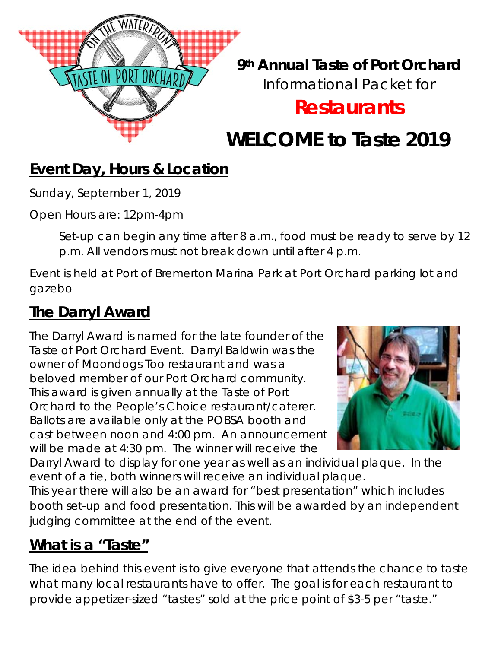

**9th Annual Taste of Port Orchard** Informational Packet for

# **Restaurants**

# **WELCOME to Taste 2019**

### **Event Day, Hours & Location**

Sunday, September 1, 2019

Open Hours are: 12pm-4pm

Set-up can begin any time after 8 a.m., food must be ready to serve by 12 p.m. All vendors must not break down until after 4 p.m.

Event is held at Port of Bremerton Marina Park at Port Orchard parking lot and gazebo

## **The Darryl Award**

The Darryl Award is named for the late founder of the Taste of Port Orchard Event. Darryl Baldwin was the owner of Moondogs Too restaurant and was a beloved member of our Port Orchard community. This award is given annually at the Taste of Port Orchard to the People's Choice restaurant/caterer. Ballots are available only at the POBSA booth and cast between noon and 4:00 pm. An announcement will be made at 4:30 pm. The winner will receive the



Darryl Award to display for one year as well as an individual plaque. In the event of a tie, both winners will receive an individual plaque.

*This year there will also be an award for "best presentation" which includes booth set-up and food presentation. This will be awarded by an independent judging committee at the end of the event.* 

## **What is a "Taste"**

The idea behind this event is to give everyone that attends the chance to taste what many local restaurants have to offer. The goal is for each restaurant to provide appetizer-sized "tastes" sold at the price point of \$3-5 per "taste."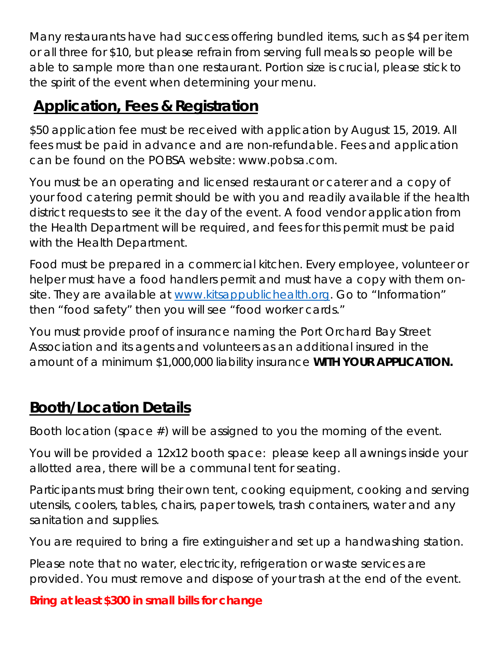Many restaurants have had success offering bundled items, such as \$4 per item or all three for \$10, but please refrain from serving full meals so people will be able to sample more than one restaurant. Portion size is crucial, please stick to the spirit of the event when determining your menu.

#### **Application, Fees & Registration**

\$50 application fee must be received with application by August 15, 2019. All fees must be paid in advance and are non-refundable. Fees and application can be found on the POBSA website: www.pobsa.com.

You must be an operating and licensed restaurant or caterer and a copy of your food catering permit should be with you and readily available if the health district requests to see it the day of the event. A food vendor application from the Health Department will be required, and fees for this permit must be paid with the Health Department.

Food must be prepared in a commercial kitchen. Every employee, volunteer or helper must have a food handlers permit and must have a copy with them onsite. They are available at www.kitsappublichealth.org. Go to "Information" then "food safety" then you will see "food worker cards."

You must provide proof of insurance naming the Port Orchard Bay Street Association and its agents and volunteers as an additional insured in the amount of a minimum \$1,000,000 liability insurance **WITH YOUR APPLICATION.** 

#### **Booth/Location Details**

Booth location (space #) will be assigned to you the morning of the event.

You will be provided a 12x12 booth space: please keep all awnings inside your allotted area, there will be a communal tent for seating.

Participants must bring their own tent, cooking equipment, cooking and serving utensils, coolers, tables, chairs, paper towels, trash containers, water and any sanitation and supplies.

You are required to bring a fire extinguisher and set up a handwashing station.

Please note that no water, electricity, refrigeration or waste services are provided. You must remove and dispose of your trash at the end of the event.

**Bring at least \$300 in small bills for change**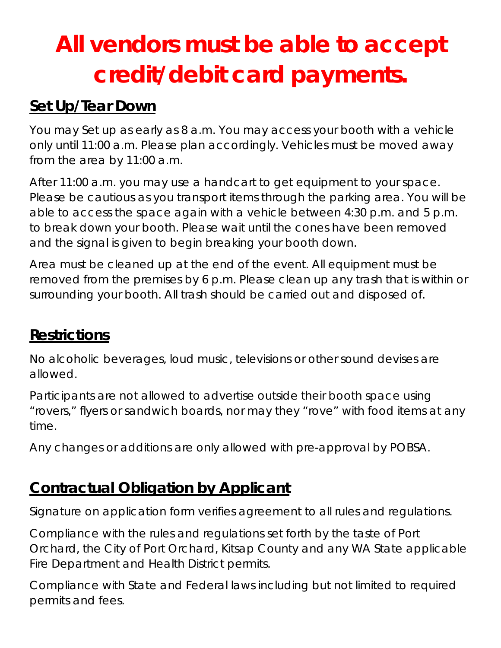# **All vendors must be able to accept credit/debit card payments.**

#### **Set Up/Tear Down**

You may Set up as early as 8 a.m. You may access your booth with a vehicle only until 11:00 a.m. Please plan accordingly. Vehicles must be moved away from the area by 11:00 a.m.

After 11:00 a.m. you may use a handcart to get equipment to your space. Please be cautious as you transport items through the parking area. You will be able to access the space again with a vehicle between 4:30 p.m. and 5 p.m. to break down your booth. Please wait until the cones have been removed and the signal is given to begin breaking your booth down.

Area must be cleaned up at the end of the event. All equipment must be removed from the premises by 6 p.m. Please clean up any trash that is within or surrounding your booth. All trash should be carried out and disposed of.

#### **Restrictions**

No alcoholic beverages, loud music, televisions or other sound devises are allowed.

Participants are not allowed to advertise outside their booth space using "rovers," flyers or sandwich boards, nor may they "rove" with food items at any time.

Any changes or additions are only allowed with pre-approval by POBSA.

### **Contractual Obligation by Applicant**

Signature on application form verifies agreement to all rules and regulations.

Compliance with the rules and regulations set forth by the taste of Port Orchard, the City of Port Orchard, Kitsap County and any WA State applicable Fire Department and Health District permits.

Compliance with State and Federal laws including but not limited to required permits and fees.